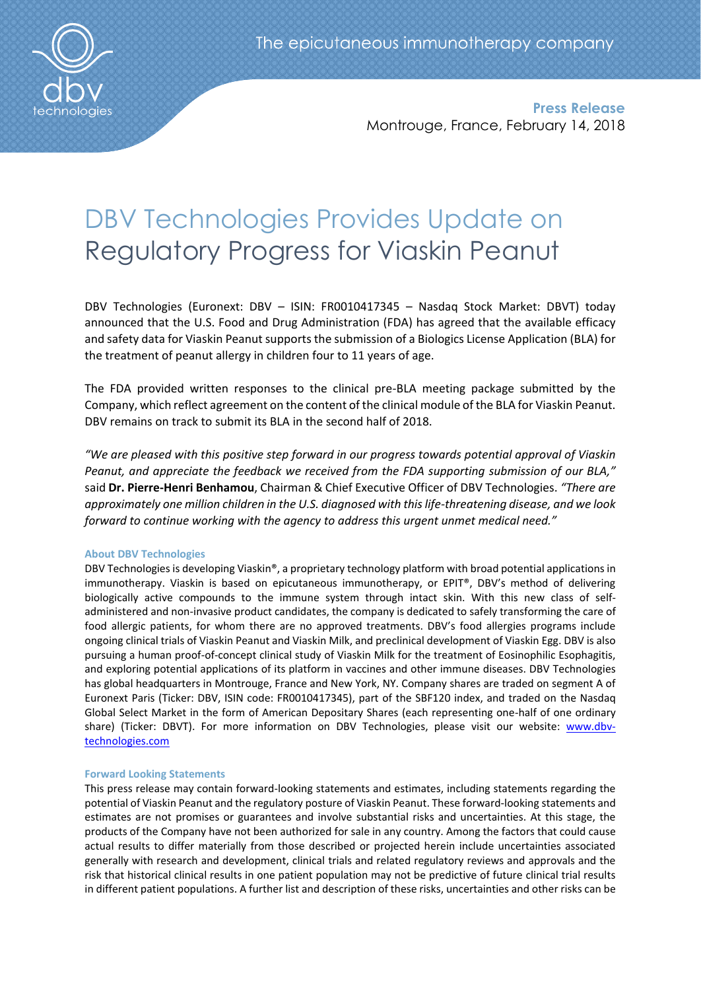

**Press Release** Montrouge, France, February 14, 2018

# DBV Technologies Provides Update on Regulatory Progress for Viaskin Peanut

DBV Technologies (Euronext: DBV – ISIN: FR0010417345 – Nasdaq Stock Market: DBVT) today announced that the U.S. Food and Drug Administration (FDA) has agreed that the available efficacy and safety data for Viaskin Peanut supports the submission of a Biologics License Application (BLA) for the treatment of peanut allergy in children four to 11 years of age.

The FDA provided written responses to the clinical pre-BLA meeting package submitted by the Company, which reflect agreement on the content of the clinical module of the BLA for Viaskin Peanut. DBV remains on track to submit its BLA in the second half of 2018.

*"We are pleased with this positive step forward in our progress towards potential approval of Viaskin Peanut, and appreciate the feedback we received from the FDA supporting submission of our BLA,"*  said **Dr. Pierre-Henri Benhamou**, Chairman & Chief Executive Officer of DBV Technologies. *"There are approximately one million children in the U.S. diagnosed with this life-threatening disease, and we look forward to continue working with the agency to address this urgent unmet medical need."*

## **About DBV Technologies**

DBV Technologies is developing Viaskin®, a proprietary technology platform with broad potential applications in immunotherapy. Viaskin is based on epicutaneous immunotherapy, or EPIT®, DBV's method of delivering biologically active compounds to the immune system through intact skin. With this new class of selfadministered and non-invasive product candidates, the company is dedicated to safely transforming the care of food allergic patients, for whom there are no approved treatments. DBV's food allergies programs include ongoing clinical trials of Viaskin Peanut and Viaskin Milk, and preclinical development of Viaskin Egg. DBV is also pursuing a human proof-of-concept clinical study of Viaskin Milk for the treatment of Eosinophilic Esophagitis, and exploring potential applications of its platform in vaccines and other immune diseases. DBV Technologies has global headquarters in Montrouge, France and New York, NY. Company shares are traded on segment A of Euronext Paris (Ticker: DBV, ISIN code: FR0010417345), part of the SBF120 index, and traded on the Nasdaq Global Select Market in the form of American Depositary Shares (each representing one-half of one ordinary share) (Ticker: DBVT). For more information on DBV Technologies, please visit our website: [www.dbv](http://www.dbv-technologies.com/)[technologies.com](http://www.dbv-technologies.com/)

## **Forward Looking Statements**

This press release may contain forward-looking statements and estimates, including statements regarding the potential of Viaskin Peanut and the regulatory posture of Viaskin Peanut. These forward-looking statements and estimates are not promises or guarantees and involve substantial risks and uncertainties. At this stage, the products of the Company have not been authorized for sale in any country. Among the factors that could cause actual results to differ materially from those described or projected herein include uncertainties associated generally with research and development, clinical trials and related regulatory reviews and approvals and the risk that historical clinical results in one patient population may not be predictive of future clinical trial results in different patient populations. A further list and description of these risks, uncertainties and other risks can be